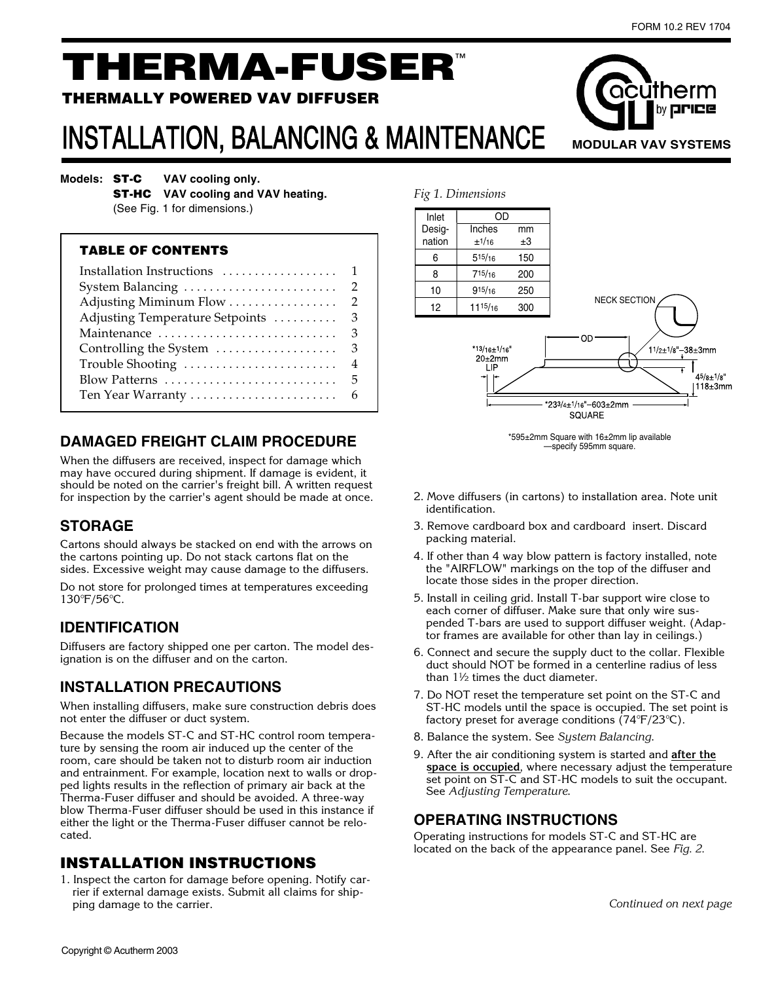by **PICE** 

**MODULAR VAV SYSTEMS**

າັcūtherm

# THERMA-FUSER™

#### THERMALLY POWERED VAV DIFFUSER

# INSTALLATION, BALANCING & MAINTENANCE

**Models: ST-C** VAV cooling only.

**ST-HC** VAV cooling and VAV heating.

 (See Fig. 1 for dimensions.)

#### TABLE OF CONTENTS

| Adjusting Temperature Setpoints | $\mathbf{3}$    |
|---------------------------------|-----------------|
|                                 |                 |
| Controlling the System          | $\overline{3}$  |
| Trouble Shooting                | $\overline{4}$  |
| Blow Patterns                   | $5\overline{)}$ |
|                                 |                 |

# **DAMAGED FREIGHT CLAIM PROCEDURE**

When the diffusers are received, inspect for damage which may have occured during shipment. If damage is evident, it should be noted on the carrier's freight bill. A written request for inspection by the carrier's agent should be made at once.

# **STORAGE**

Cartons should always be stacked on end with the arrows on the cartons pointing up. Do not stack cartons flat on the sides. Excessive weight may cause damage to the diffusers.

Do not store for prolonged times at temperatures exceeding 130°F/56°C.

#### **IDENTIFICATION**

Diffusers are factory shipped one per carton. The model designation is on the diffuser and on the carton.

# **INSTALLATION PRECAUTIONS**

When installing diffusers, make sure construction debris does not enter the diffuser or duct system.

Because the models ST-C and ST-HC control room temperature by sensing the room air induced up the center of the room, care should be taken not to disturb room air induction and entrainment. For example, location next to walls or dropped lights results in the reflection of primary air back at the Therma-Fuser diffuser and should be avoided. A three-way blow Therma-Fuser diffuser should be used in this instance if either the light or the Therma-Fuser diffuser cannot be relocated.

#### INSTALLATION INSTRUCTIONS

1. Inspect the carton for damage before opening. Notify carrier if external damage exists. Submit all claims for shipping damage to the carrier.



\*595±2mm Square with 16±2mm lip available —specify 595mm square.

- 2. Move diffusers (in cartons) to installation area. Note unit identification.
- 3. Remove cardboard box and cardboard insert. Discard packing material.
- 4. If other than 4 way blow pattern is factory installed, note the "AIRFLOW" markings on the top of the diffuser and locate those sides in the proper direction.
- 5. Install in ceiling grid. Install T-bar support wire close to each corner of diffuser. Make sure that only wire suspended T-bars are used to support diffuser weight. (Adaptor frames are available for other than lay in ceilings.)
- 6. Connect and secure the supply duct to the collar. Flexible duct should NOT be formed in a centerline radius of less than 1½ times the duct diameter.
- 7. Do NOT reset the temperature set point on the ST-C and ST-HC models until the space is occupied. The set point is factory preset for average conditions  $(74^{\circ}F/23^{\circ}C)$ .
- 8. Balance the system. See System Balancing.
- 9. After the air conditioning system is started and **after the space is occupied**, where necessary adjust the temperature set point on ST-C and ST-HC models to suit the occupant. See Adjusting Temperature.

#### **OPERATING INSTRUCTIONS**

Operating instructions for models ST-C and ST-HC are located on the back of the appearance panel. See Fig. 2.

Continued on next page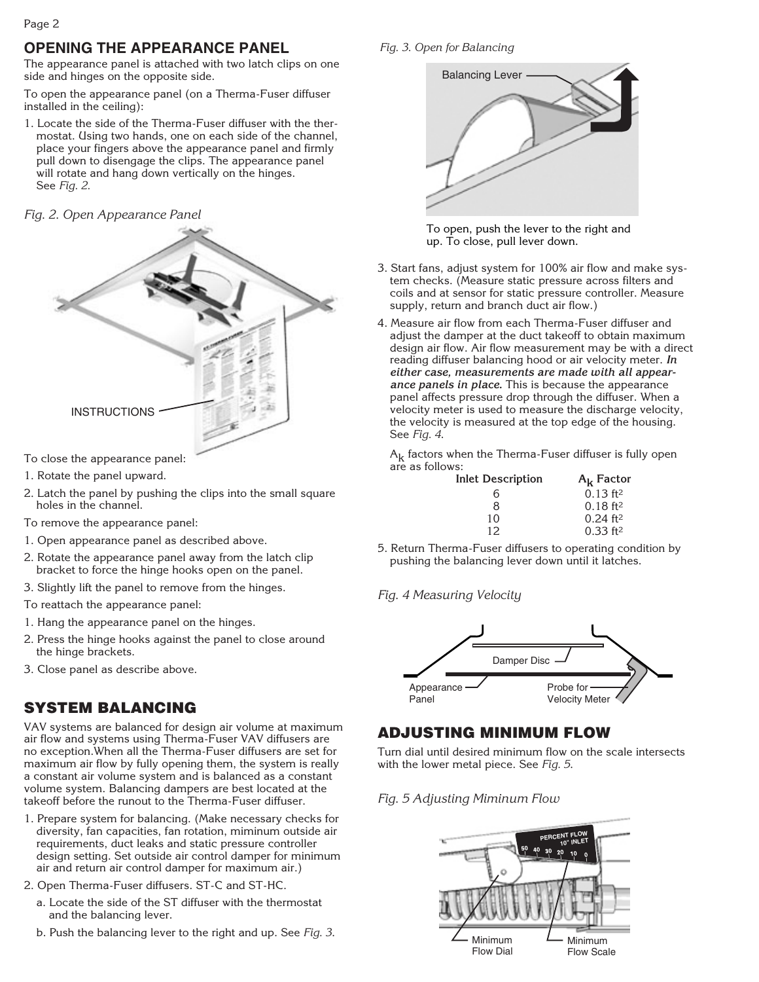# **OPENING THE APPEARANCE PANEL**

The appearance panel is attached with two latch clips on one side and hinges on the opposite side.

To open the appearance panel (on a Therma-Fuser diffuser installed in the ceiling):

1. Locate the side of the Therma-Fuser diffuser with the thermostat. Using two hands, one on each side of the channel, place your fingers above the appearance panel and firmly pull down to disengage the clips. The appearance panel will rotate and hang down vertically on the hinges. See Fig. 2.

#### Fig. 2. Open Appearance Panel



To close the appearance panel:

- 1. Rotate the panel upward.
- 2. Latch the panel by pushing the clips into the small square holes in the channel.

To remove the appearance panel:

- 1. Open appearance panel as described above.
- 2. Rotate the appearance panel away from the latch clip bracket to force the hinge hooks open on the panel.
- 3. Slightly lift the panel to remove from the hinges.

To reattach the appearance panel:

- 1. Hang the appearance panel on the hinges.
- 2. Press the hinge hooks against the panel to close around the hinge brackets.
- 3. Close panel as describe above.

# SYSTEM BALANCING

VAV systems are balanced for design air volume at maximum air flow and systems using Therma-Fuser VAV diffusers are no exception.When all the Therma-Fuser diffusers are set for maximum air flow by fully opening them, the system is really a constant air volume system and is balanced as a constant volume system. Balancing dampers are best located at the takeoff before the runout to the Therma-Fuser diffuser.

- 1. Prepare system for balancing. (Make necessary checks for diversity, fan capacities, fan rotation, miminum outside air requirements, duct leaks and static pressure controller design setting. Set outside air control damper for minimum air and return air control damper for maximum air.)
- 2. Open Therma-Fuser diffusers. ST-C and ST-HC.
	- a. Locate the side of the ST diffuser with the thermostat and the balancing lever.
	- b. Push the balancing lever to the right and up. See Fig. 3.

Fig. 3. Open for Balancing



To open, push the lever to the right and up. To close, pull lever down.

- 3. Start fans, adjust system for 100% air flow and make system checks. (Measure static pressure across filters and coils and at sensor for static pressure controller. Measure supply, return and branch duct air flow.)
- 4. Measure air flow from each Therma-Fuser diffuser and adjust the damper at the duct takeoff to obtain maximum design air flow. Air flow measurement may be with a direct reading diffuser balancing hood or air velocity meter. **In either case, measurements are made with all appearance panels in place.** This is because the appearance panel affects pressure drop through the diffuser. When a velocity meter is used to measure the discharge velocity, the velocity is measured at the top edge of the housing. See Fig. 4.

 $A_k$  factors when the Therma-Fuser diffuser is fully open are as follows:

| Inlet Description | $A_k$ Factor           |
|-------------------|------------------------|
| 6                 | $0.13$ ft <sup>2</sup> |
| 8                 | $0.18$ ft <sup>2</sup> |
| 10                | $0.24$ ft <sup>2</sup> |
| 12                | $0.33$ ft <sup>2</sup> |

5. Return Therma-Fuser diffusers to operating condition by pushing the balancing lever down until it latches.

#### Fig. 4 Measuring Velocity



# ADJUSTING MINIMUM FLOW

Turn dial until desired minimum flow on the scale intersects with the lower metal piece. See Fig. 5.

#### Fig. 5 Adjusting Miminum Flow

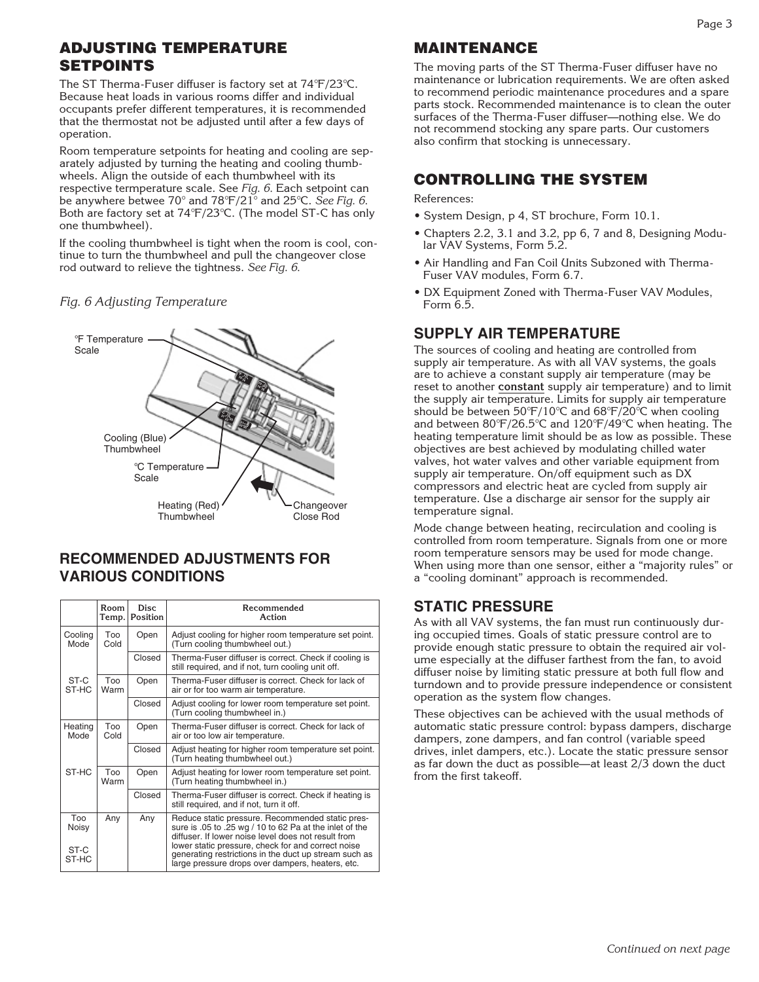# ADJUSTING TEMPERATURE SETPOINTS

The ST Therma-Fuser diffuser is factory set at 74°F/23°C. Because heat loads in various rooms differ and individual occupants prefer different temperatures, it is recommended that the thermostat not be adjusted until after a few days of operation.

Room temperature setpoints for heating and cooling are separately adjusted by turning the heating and cooling thumbwheels. Align the outside of each thumbwheel with its respective termperature scale. See Fig. 6. Each setpoint can be anywhere betwee 70° and 78°F/21° and 25°C. See Fig. 6. Both are factory set at 74°F/23°C. (The model ST-C has only one thumbwheel).

If the cooling thumbwheel is tight when the room is cool, continue to turn the thumbwheel and pull the changeover close rod outward to relieve the tightness. See Fig. 6.

#### Fig. 6 Adjusting Temperature



#### **RECOMMENDED ADJUSTMENTS FOR VARIOUS CONDITIONS**

|                 | Room<br>Temp.      | <b>Disc</b><br>Position | Recommended<br>Action                                                                                                                                              |  |  |
|-----------------|--------------------|-------------------------|--------------------------------------------------------------------------------------------------------------------------------------------------------------------|--|--|
| Cooling<br>Mode | Too<br>Cold        | Open                    | Adjust cooling for higher room temperature set point.<br>(Turn cooling thumbwheel out.)                                                                            |  |  |
|                 |                    | Closed                  | Therma-Fuser diffuser is correct. Check if cooling is<br>still required, and if not, turn cooling unit off.                                                        |  |  |
| ST-C<br>ST-HC   | <b>Too</b><br>Warm | Open                    | Therma-Fuser diffuser is correct. Check for lack of<br>air or for too warm air temperature.                                                                        |  |  |
|                 |                    | Closed                  | Adjust cooling for lower room temperature set point.<br>(Turn cooling thumbwheel in.)                                                                              |  |  |
| Heating<br>Mode | Too<br>Cold        | Open                    | Therma-Fuser diffuser is correct. Check for lack of<br>air or too low air temperature.                                                                             |  |  |
|                 |                    | Closed                  | Adjust heating for higher room temperature set point.<br>(Turn heating thumbwheel out.)                                                                            |  |  |
| ST-HC           | Too<br>Warm        | Open                    | Adjust heating for lower room temperature set point.<br>(Turn heating thumbwheel in.)                                                                              |  |  |
|                 |                    | Closed                  | Therma-Fuser diffuser is correct. Check if heating is<br>still required, and if not, turn it off.                                                                  |  |  |
| Too<br>Noisy    | Any                | Any                     | Reduce static pressure. Recommended static pres-<br>sure is .05 to .25 wg / 10 to 62 Pa at the inlet of the<br>diffuser. If lower noise level does not result from |  |  |
| ST-C<br>ST-HC   |                    |                         | lower static pressure, check for and correct noise<br>generating restrictions in the duct up stream such as<br>large pressure drops over dampers, heaters, etc.    |  |  |

#### MAINTENANCE

The moving parts of the ST Therma-Fuser diffuser have no maintenance or lubrication requirements. We are often asked to recommend periodic maintenance procedures and a spare parts stock. Recommended maintenance is to clean the outer surfaces of the Therma-Fuser diffuser—nothing else. We do not recommend stocking any spare parts. Our customers also confirm that stocking is unnecessary.

#### CONTROLLING THE SYSTEM

#### References:

- System Design, p 4, ST brochure, Form 10.1.
- Chapters 2.2, 3.1 and 3.2, pp 6, 7 and 8, Designing Modular VAV Systems, Form 5.2.
- Air Handling and Fan Coil Units Subzoned with Therma-Fuser VAV modules, Form 6.7.
- DX Equipment Zoned with Therma-Fuser VAV Modules, Form 6.5.

#### **SUPPLY AIR TEMPERATURE**

The sources of cooling and heating are controlled from supply air temperature. As with all VAV systems, the goals are to achieve a constant supply air temperature (may be reset to another **constant** supply air temperature) and to limit the supply air temperature. Limits for supply air temperature should be between 50°F/10°C and 68°F/20°C when cooling and between 80°F/26.5°C and 120°F/49°C when heating. The heating temperature limit should be as low as possible. These objectives are best achieved by modulating chilled water valves, hot water valves and other variable equipment from supply air temperature. On/off equipment such as DX compressors and electric heat are cycled from supply air temperature. Use a discharge air sensor for the supply air temperature signal.

Mode change between heating, recirculation and cooling is controlled from room temperature. Signals from one or more room temperature sensors may be used for mode change. When using more than one sensor, either a "majority rules" or a "cooling dominant" approach is recommended.

#### **STATIC PRESSURE**

As with all VAV systems, the fan must run continuously during occupied times. Goals of static pressure control are to provide enough static pressure to obtain the required air volume especially at the diffuser farthest from the fan, to avoid diffuser noise by limiting static pressure at both full flow and turndown and to provide pressure independence or consistent operation as the system flow changes.

These objectives can be achieved with the usual methods of automatic static pressure control: bypass dampers, discharge dampers, zone dampers, and fan control (variable speed drives, inlet dampers, etc.). Locate the static pressure sensor as far down the duct as possible—at least 2/3 down the duct from the first takeoff.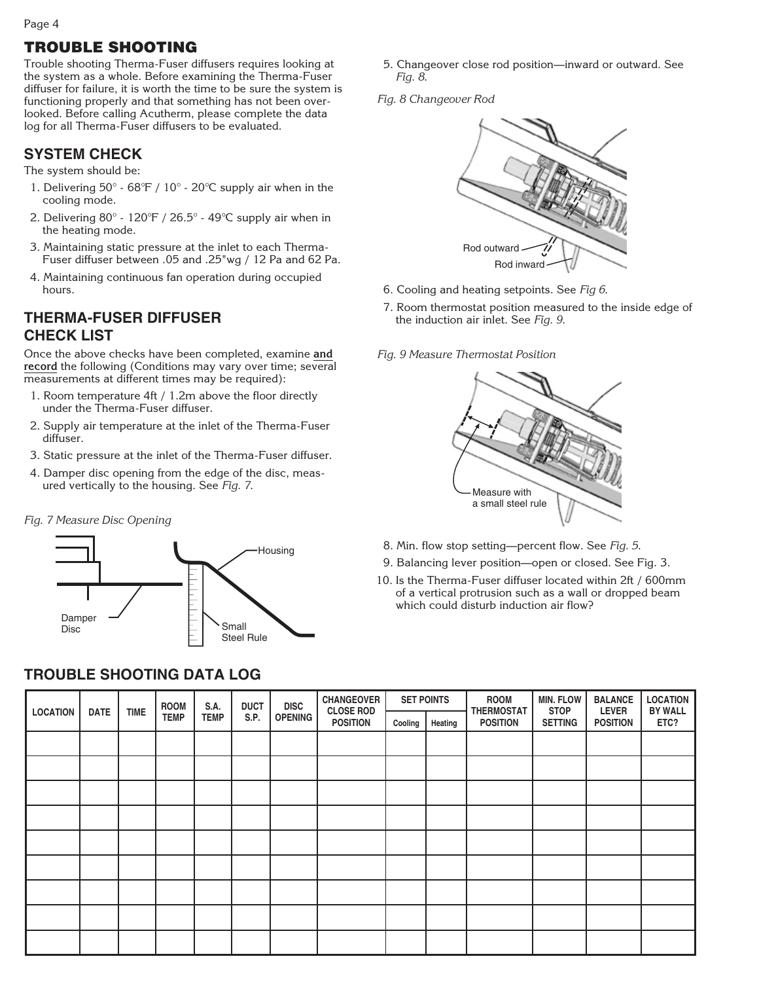Page 4

# TROUBLE SHOOTING

Trouble shooting Therma-Fuser diffusers requires looking at the system as a whole. Before examining the Therma-Fuser diffuser for failure, it is worth the time to be sure the system is functioning properly and that something has not been overlooked. Before calling Acutherm, please complete the data log for all Therma-Fuser diffusers to be evaluated.

#### **SYSTEM CHECK**

The system should be:

- 1. Delivering 50° 68°F / 10° 20°C supply air when in the cooling mode.
- 2. Delivering 80° 120°F / 26.5° 49°C supply air when in the heating mode.
- 3. Maintaining static pressure at the inlet to each Therma-Fuser diffuser between .05 and .25"wg / 12 Pa and 62 Pa.
- 4. Maintaining continuous fan operation during occupied hours.

#### **THERMA-FUSER DIFFUSER CHECK LIST**

Once the above checks have been completed, examine **and record** the following (Conditions may vary over time; several measurements at different times may be required):

- 1. Room temperature 4ft / 1.2m above the floor directly under the Therma-Fuser diffuser.
- 2. Supply air temperature at the inlet of the Therma-Fuser diffuser.
- 3. Static pressure at the inlet of the Therma-Fuser diffuser.
- 4. Damper disc opening from the edge of the disc, measured vertically to the housing. See Fig. 7.

#### Fig. 7 Measure Disc Opening



#### **TROUBLE SHOOTING DATA LOG**

- 5. Changeover close rod position—inward or outward. See Fig. 8.
- Fig. 8 Changeover Rod



- 6. Cooling and heating setpoints. See Fig 6.
- 7. Room thermostat position measured to the inside edge of the induction air inlet. See Fig. 9.

Fig. 9 Measure Thermostat Position



- 8. Min. flow stop setting—percent flow. See Fig. 5.
- 9. Balancing lever position—open or closed. See Fig. 3.
- 10. Is the Therma-Fuser diffuser located within 2ft / 600mm of a vertical protrusion such as a wall or dropped beam which could disturb induction air flow?

| <b>LOCATION</b><br><b>DATE</b> | <b>ROOM</b> | S.A.                       | <b>DUCT</b> | <b>DISC</b> | <b>CHANGEOVER</b><br><b>CLOSE ROD</b> | <b>SET POINTS</b> |         | <b>ROOM</b><br><b>THERMOSTAT</b> | <b>MIN. FLOW</b><br><b>STOP</b> | <b>BALANCE</b><br><b>LEVER</b> | <b>LOCATION</b><br><b>BY WALL</b> |      |
|--------------------------------|-------------|----------------------------|-------------|-------------|---------------------------------------|-------------------|---------|----------------------------------|---------------------------------|--------------------------------|-----------------------------------|------|
|                                |             | <b>TIME</b><br><b>TEMP</b> | <b>TEMP</b> | S.P.        | <b>OPENING</b>                        | <b>POSITION</b>   | Cooling | Heating                          | <b>POSITION</b>                 | <b>SETTING</b>                 | <b>POSITION</b>                   | ETC? |
|                                |             |                            |             |             |                                       |                   |         |                                  |                                 |                                |                                   |      |
|                                |             |                            |             |             |                                       |                   |         |                                  |                                 |                                |                                   |      |
|                                |             |                            |             |             |                                       |                   |         |                                  |                                 |                                |                                   |      |
|                                |             |                            |             |             |                                       |                   |         |                                  |                                 |                                |                                   |      |
|                                |             |                            |             |             |                                       |                   |         |                                  |                                 |                                |                                   |      |
|                                |             |                            |             |             |                                       |                   |         |                                  |                                 |                                |                                   |      |
|                                |             |                            |             |             |                                       |                   |         |                                  |                                 |                                |                                   |      |
|                                |             |                            |             |             |                                       |                   |         |                                  |                                 |                                |                                   |      |
|                                |             |                            |             |             |                                       |                   |         |                                  |                                 |                                |                                   |      |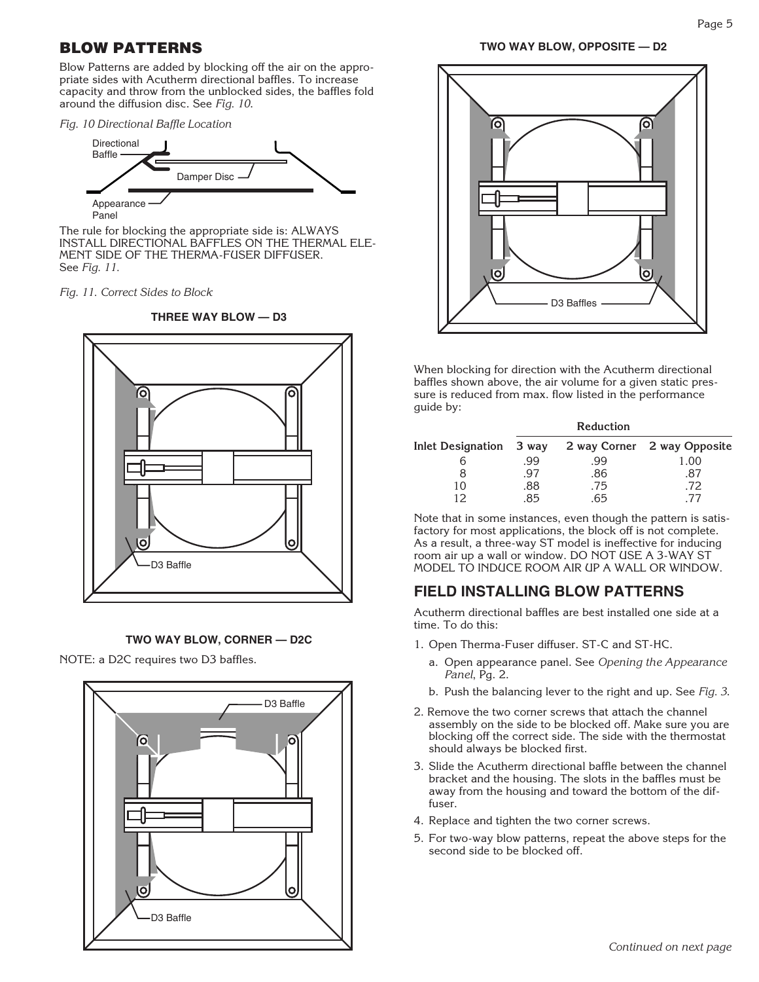#### BLOW PATTERNS

Blow Patterns are added by blocking off the air on the appropriate sides with Acutherm directional baffles. To increase capacity and throw from the unblocked sides, the baffles fold around the diffusion disc. See Fig. 10.

Fig. 10 Directional Baffle Location



Panel

The rule for blocking the appropriate side is: ALWAYS INSTALL DIRECTIONAL BAFFLES ON THE THERMAL ELE-MENT SIDE OF THE THERMA-FUSER DIFFUSER. See Fig. 11.

Fig. 11. Correct Sides to Block





#### **TWO WAY BLOW, CORNER — D2C**

NOTE: a D2C requires two D3 baffles.





When blocking for direction with the Acutherm directional baffles shown above, the air volume for a given static pressure is reduced from max. flow listed in the performance guide by:

|                         |     | <b>Reduction</b> |                             |
|-------------------------|-----|------------------|-----------------------------|
| Inlet Designation 3 way |     |                  | 2 way Corner 2 way Opposite |
|                         | .99 | .99              | 1.00                        |
|                         | .97 | .86              | .87                         |
| 10                      | 88. | .75              | .72                         |
|                         | 85  | 65               | 77                          |

Note that in some instances, even though the pattern is satisfactory for most applications, the block off is not complete. As a result, a three-way ST model is ineffective for inducing room air up a wall or window. DO NOT USE A 3-WAY ST MODEL TO INDUCE ROOM AIR UP A WALL OR WINDOW.

#### **FIELD INSTALLING BLOW PATTERNS**

Acutherm directional baffles are best installed one side at a time. To do this:

- 1. Open Therma-Fuser diffuser. ST-C and ST-HC.
	- a. Open appearance panel. See Opening the Appearance Panel, Pg. 2.
	- b. Push the balancing lever to the right and up. See Fig. 3.
- 2. Remove the two corner screws that attach the channel assembly on the side to be blocked off. Make sure you are blocking off the correct side. The side with the thermostat should always be blocked first.
- 3. Slide the Acutherm directional baffle between the channel bracket and the housing. The slots in the baffles must be away from the housing and toward the bottom of the dif- fuser.
- 4. Replace and tighten the two corner screws.
- 5. For two-way blow patterns, repeat the above steps for the second side to be blocked off.